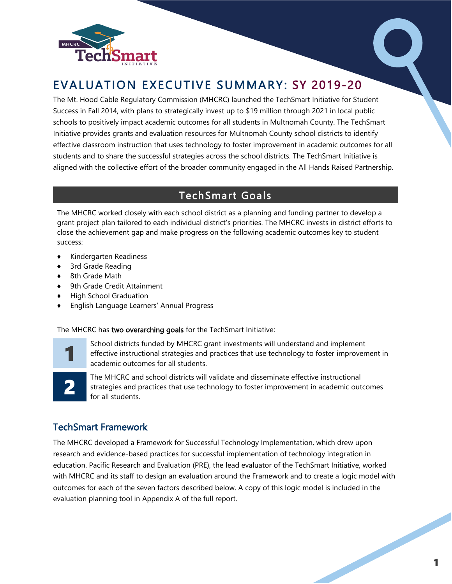

# EVALUATION EXECUTIVE SUMMARY: SY 2019-20

The Mt. Hood Cable Regulatory Commission (MHCRC) launched the TechSmart Initiative for Student Success in Fall 2014, with plans to strategically invest up to \$19 million through 2021 in local public schools to positively impact academic outcomes for all students in Multnomah County. The TechSmart Initiative provides grants and evaluation resources for Multnomah County school districts to identify effective classroom instruction that uses technology to foster improvement in academic outcomes for all students and to share the successful strategies across the school districts. The TechSmart Initiative is aligned with the collective effort of the broader community engaged in the All Hands Raised Partnership.

## TechSmart Goals

The MHCRC worked closely with each school district as a planning and funding partner to develop a grant project plan tailored to each individual district's priorities. The MHCRC invests in district efforts to close the achievement gap and make progress on the following academic outcomes key to student success:

- ♦ Kindergarten Readiness
- 3rd Grade Reading
- ♦ 8th Grade Math
- ♦ 9th Grade Credit Attainment
- ♦ High School Graduation
- English Language Learners' Annual Progress

The MHCRC has two overarching goals for the TechSmart Initiative:



School districts funded by MHCRC grant investments will understand and implement effective instructional strategies and practices that use technology to foster improvement in academic outcomes for all students.



The MHCRC and school districts will validate and disseminate effective instructional strategies and practices that use technology to foster improvement in academic outcomes for all students.

## TechSmart Framework

The MHCRC developed a Framework for Successful Technology Implementation, which drew upon research and evidence-based practices for successful implementation of technology integration in education. Pacific Research and Evaluation (PRE), the lead evaluator of the TechSmart Initiative, worked with MHCRC and its staff to design an evaluation around the Framework and to create a logic model with outcomes for each of the seven factors described below. A copy of this logic model is included in the evaluation planning tool in Appendix A of the full report.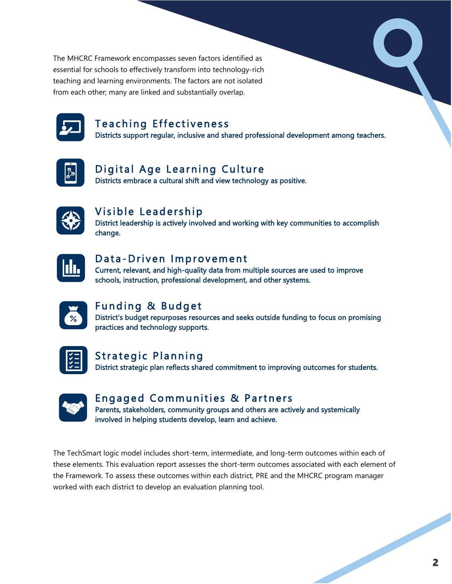The MHCRC Framework encompasses seven factors identified as essential for schools to effectively transform into technology-rich teaching and learning environments. The factors are not isolated from each other; many are linked and substantially overlap.



## **Teaching Effectiveness**

Districts support regular, inclusive and shared professional development among teachers.



## Digital Age Learning Culture

Districts embrace a cultural shift and view technology as positive.

## Visible Leadership

District leadership is actively involved and working with key communities to accomplish change.

## Data-Driven Improvement

Current, relevant, and high-quality data from multiple sources are used to improve schools, instruction, professional development, and other systems.



## Funding & Budget

District's budget repurposes resources and seeks outside funding to focus on promising practices and technology supports.

| ۹ |  |
|---|--|
|   |  |
|   |  |
|   |  |

## Strategic Planning

District strategic plan reflects shared commitment to improving outcomes for students.

## Engaged Communities & Partners

Parents, stakeholders, community groups and others are actively and systemically involved in helping students develop, learn and achieve.

The TechSmart logic model includes short-term, intermediate, and long-term outcomes within each of these elements. This evaluation report assesses the short-term outcomes associated with each element of the Framework. To assess these outcomes within each district, PRE and the MHCRC program manager worked with each district to develop an evaluation planning tool.

R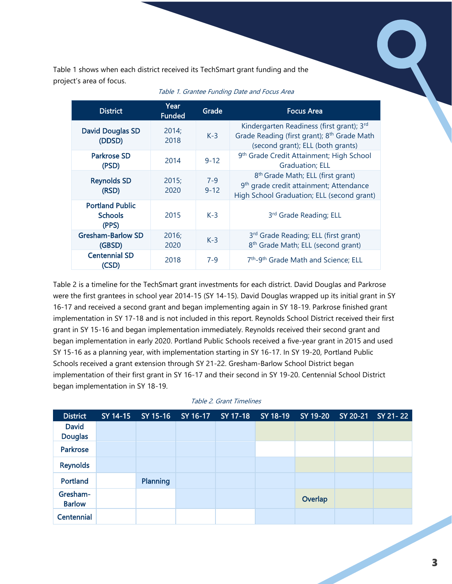Table 1 shows when each district received its TechSmart grant funding and the project's area of focus.

| ct's area of focus.                               |                       |                     | 1 shows when each district received its TechSmart grant funding and the                                                                            |
|---------------------------------------------------|-----------------------|---------------------|----------------------------------------------------------------------------------------------------------------------------------------------------|
| <b>District</b>                                   | Year<br><b>Funded</b> | Grade               | Table 1. Grantee Funding Date and Focus Area<br><b>Focus Area</b>                                                                                  |
| <b>David Douglas SD</b><br>(DDSD)                 | 2014;<br>2018         | $K-3$               | Kindergarten Readiness (first grant); 3rd<br>Grade Reading (first grant); 8 <sup>th</sup> Grade Math<br>(second grant); ELL (both grants)          |
| <b>Parkrose SD</b><br>(PSD)                       | 2014                  | $9 - 12$            | 9 <sup>th</sup> Grade Credit Attainment; High School<br><b>Graduation</b> ; ELL                                                                    |
| <b>Reynolds SD</b><br>(RSD)                       | 2015;<br>2020         | $7 - 9$<br>$9 - 12$ | 8 <sup>th</sup> Grade Math; ELL (first grant)<br>9 <sup>th</sup> grade credit attainment; Attendance<br>High School Graduation; ELL (second grant) |
| <b>Portland Public</b><br><b>Schools</b><br>(PPS) | 2015                  | $K-3$               | 3rd Grade Reading; ELL                                                                                                                             |
| <b>Gresham-Barlow SD</b><br>(GBSD)                | 2016;<br>2020         | $K-3$               | 3rd Grade Reading; ELL (first grant)<br>8 <sup>th</sup> Grade Math; ELL (second grant)                                                             |
| <b>Centennial SD</b><br>(CSD)                     | 2018                  | $7 - 9$             | 7 <sup>th</sup> -9 <sup>th</sup> Grade Math and Science; ELL                                                                                       |

#### Table 1. Grantee Funding Date and Focus Area

[Table 2](#page-2-0) is a timeline for the TechSmart grant investments for each district. David Douglas and Parkrose were the first grantees in school year 2014-15 (SY 14-15). David Douglas wrapped up its initial grant in SY 16-17 and received a second grant and began implementing again in SY 18-19. Parkrose finished grant implementation in SY 17-18 and is not included in this report. Reynolds School District received their first grant in SY 15-16 and began implementation immediately. Reynolds received their second grant and began implementation in early 2020. Portland Public Schools received a five-year grant in 2015 and used SY 15-16 as a planning year, with implementation starting in SY 16-17. In SY 19-20, Portland Public Schools received a grant extension through SY 21-22. Gresham-Barlow School District began implementation of their first grant in SY 16-17 and their second in SY 19-20. Centennial School District began implementation in SY 18-19.

<span id="page-2-0"></span>

| <b>District</b>           | SY 14-15 | SY 15-16        | SY 16-17 | SY 17-18 | SY 18-19 | SY 19-20 | SY 20-21 | SY 21-22 |
|---------------------------|----------|-----------------|----------|----------|----------|----------|----------|----------|
| <b>David</b>              |          |                 |          |          |          |          |          |          |
| <b>Douglas</b>            |          |                 |          |          |          |          |          |          |
| Parkrose                  |          |                 |          |          |          |          |          |          |
| <b>Reynolds</b>           |          |                 |          |          |          |          |          |          |
| Portland                  |          | <b>Planning</b> |          |          |          |          |          |          |
| Gresham-<br><b>Barlow</b> |          |                 |          |          |          | Overlap  |          |          |
| Centennial                |          |                 |          |          |          |          |          |          |

| Table 2. Grant Timelines |  |  |
|--------------------------|--|--|
|                          |  |  |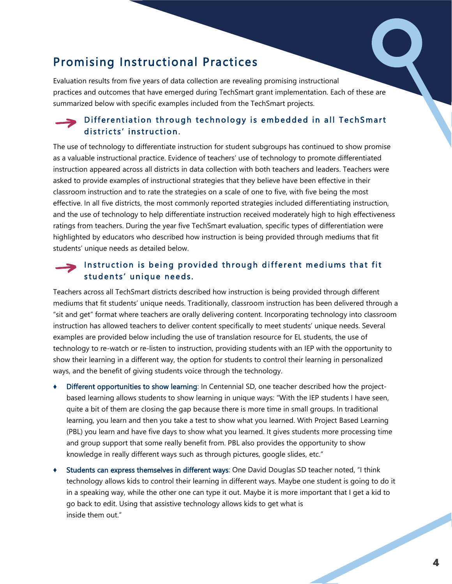# Promising Instructional Practices

Evaluation results from five years of data collection are revealing promising instructional practices and outcomes that have emerged during TechSmart grant implementation. Each of these are summarized below with specific examples included from the TechSmart projects.

### Differentiation through technology is embedded in all TechSmart districts' instruction.

The use of technology to differentiate instruction for student subgroups has continued to show promise as a valuable instructional practice. Evidence of teachers' use of technology to promote differentiated instruction appeared across all districts in data collection with both teachers and leaders. Teachers were asked to provide examples of instructional strategies that they believe have been effective in their classroom instruction and to rate the strategies on a scale of one to five, with five being the most effective. In all five districts, the most commonly reported strategies included differentiating instruction, and the use of technology to help differentiate instruction received moderately high to high effectiveness ratings from teachers. During the year five TechSmart evaluation, specific types of differentiation were highlighted by educators who described how instruction is being provided through mediums that fit students' unique needs as detailed below.

### Instruction is being provided through different mediums that fit students' unique needs.

Teachers across all TechSmart districts described how instruction is being provided through different mediums that fit students' unique needs. Traditionally, classroom instruction has been delivered through a "sit and get" format where teachers are orally delivering content. Incorporating technology into classroom instruction has allowed teachers to deliver content specifically to meet students' unique needs. Several examples are provided below including the use of translation resource for EL students, the use of technology to re-watch or re-listen to instruction, providing students with an IEP with the opportunity to show their learning in a different way, the option for students to control their learning in personalized ways, and the benefit of giving students voice through the technology.

- Different opportunities to show learning: In Centennial SD, one teacher described how the projectbased learning allows students to show learning in unique ways: "With the IEP students I have seen, quite a bit of them are closing the gap because there is more time in small groups. In traditional learning, you learn and then you take a test to show what you learned. With Project Based Learning (PBL) you learn and have five days to show what you learned. It gives students more processing time and group support that some really benefit from. PBL also provides the opportunity to show knowledge in really different ways such as through pictures, google slides, etc."
- Students can express themselves in different ways: One David Douglas SD teacher noted, "I think technology allows kids to control their learning in different ways. Maybe one student is going to do it in a speaking way, while the other one can type it out. Maybe it is more important that I get a kid to go back to edit. Using that assistive technology allows kids to get what is inside them out."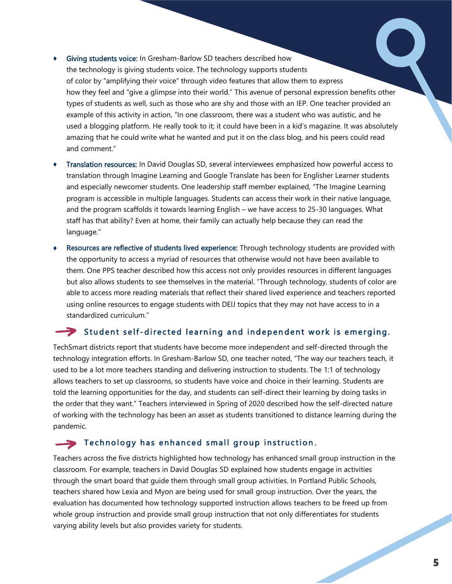- ♦ Giving students voice: In Gresham-Barlow SD teachers described how the technology is giving students voice. The technology supports students of color by "amplifying their voice" through video features that allow them to express how they feel and "give a glimpse into their world." This avenue of personal expression benefits other types of students as well, such as those who are shy and those with an IEP. One teacher provided an example of this activity in action, "In one classroom, there was a student who was autistic, and he used a blogging platform. He really took to it; it could have been in a kid's magazine. It was absolutely amazing that he could write what he wanted and put it on the class blog, and his peers could read and comment."
- Translation resources: In David Douglas SD, several interviewees emphasized how powerful access to translation through Imagine Learning and Google Translate has been for Englisher Learner students and especially newcomer students. One leadership staff member explained, "The Imagine Learning program is accessible in multiple languages. Students can access their work in their native language, and the program scaffolds it towards learning English – we have access to 25-30 languages. What staff has that ability? Even at home, their family can actually help because they can read the language."
- Resources are reflective of students lived experience: Through technology students are provided with the opportunity to access a myriad of resources that otherwise would not have been available to them. One PPS teacher described how this access not only provides resources in different languages but also allows students to see themselves in the material. "Through technology, students of color are able to access more reading materials that reflect their shared lived experience and teachers reported using online resources to engage students with DEIJ topics that they may not have access to in a standardized curriculum."

#### Student self-directed learning and independent work is emerging.

TechSmart districts report that students have become more independent and self-directed through the technology integration efforts. In Gresham-Barlow SD, one teacher noted, "The way our teachers teach, it used to be a lot more teachers standing and delivering instruction to students. The 1:1 of technology allows teachers to set up classrooms, so students have voice and choice in their learning. Students are told the learning opportunities for the day, and students can self-direct their learning by doing tasks in the order that they want." Teachers interviewed in Spring of 2020 described how the self-directed nature of working with the technology has been an asset as students transitioned to distance learning during the pandemic.

#### $\blacktriangleright$  Technology has enhanced small group instruction.

Teachers across the five districts highlighted how technology has enhanced small group instruction in the classroom. For example, teachers in David Douglas SD explained how students engage in activities through the smart board that guide them through small group activities. In Portland Public Schools, teachers shared how Lexia and Myon are being used for small group instruction. Over the years, the evaluation has documented how technology supported instruction allows teachers to be freed up from whole group instruction and provide small group instruction that not only differentiates for students varying ability levels but also provides variety for students.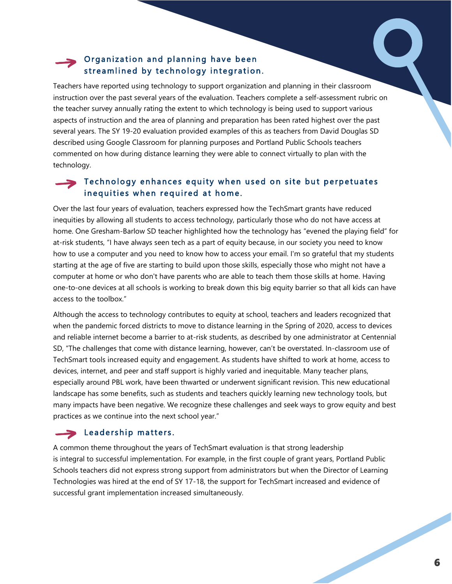## Organization and planning have been streamlined by technology integration.

Teachers have reported using technology to support organization and planning in their classroom instruction over the past several years of the evaluation. Teachers complete a self-assessment rubric on the teacher survey annually rating the extent to which technology is being used to support various aspects of instruction and the area of planning and preparation has been rated highest over the past several years. The SY 19-20 evaluation provided examples of this as teachers from David Douglas SD described using Google Classroom for planning purposes and Portland Public Schools teachers commented on how during distance learning they were able to connect virtually to plan with the technology.

### $\blacktriangleright$  Technology enhances equity when used on site but perpetuates in equities when required at home.

Over the last four years of evaluation, teachers expressed how the TechSmart grants have reduced inequities by allowing all students to access technology, particularly those who do not have access at home. One Gresham-Barlow SD teacher highlighted how the technology has "evened the playing field" for at-risk students, "I have always seen tech as a part of equity because, in our society you need to know how to use a computer and you need to know how to access your email. I'm so grateful that my students starting at the age of five are starting to build upon those skills, especially those who might not have a computer at home or who don't have parents who are able to teach them those skills at home. Having one-to-one devices at all schools is working to break down this big equity barrier so that all kids can have access to the toolbox."

Although the access to technology contributes to equity at school, teachers and leaders recognized that when the pandemic forced districts to move to distance learning in the Spring of 2020, access to devices and reliable internet become a barrier to at-risk students, as described by one administrator at Centennial SD, "The challenges that come with distance learning, however, can't be overstated. In-classroom use of TechSmart tools increased equity and engagement. As students have shifted to work at home, access to devices, internet, and peer and staff support is highly varied and inequitable. Many teacher plans, especially around PBL work, have been thwarted or underwent significant revision. This new educational landscape has some benefits, such as students and teachers quickly learning new technology tools, but many impacts have been negative. We recognize these challenges and seek ways to grow equity and best practices as we continue into the next school year."

#### $\blacktriangleright$  Leadership matters.

A common theme throughout the years of TechSmart evaluation is that strong leadership is integral to successful implementation. For example, in the first couple of grant years, Portland Public Schools teachers did not express strong support from administrators but when the Director of Learning Technologies was hired at the end of SY 17-18, the support for TechSmart increased and evidence of successful grant implementation increased simultaneously.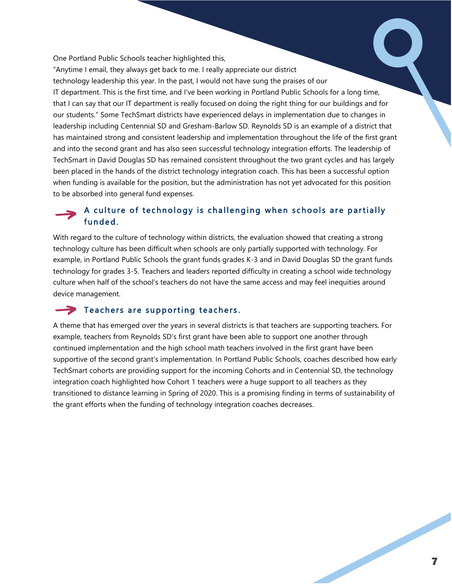One Portland Public Schools teacher highlighted this,

"Anytime I email, they always get back to me. I really appreciate our district technology leadership this year. In the past, I would not have sung the praises of our IT department. This is the first time, and I've been working in Portland Public Schools for a long time, that I can say that our IT department is really focused on doing the right thing for our buildings and for our students." Some TechSmart districts have experienced delays in implementation due to changes in leadership including Centennial SD and Gresham-Barlow SD. Reynolds SD is an example of a district that has maintained strong and consistent leadership and implementation throughout the life of the first grant and into the second grant and has also seen successful technology integration efforts. The leadership of TechSmart in David Douglas SD has remained consistent throughout the two grant cycles and has largely been placed in the hands of the district technology integration coach. This has been a successful option when funding is available for the position, but the administration has not yet advocated for this position to be absorbed into general fund expenses.

### A culture of technology is challenging when schools are partially funded.

With regard to the culture of technology within districts, the evaluation showed that creating a strong technology culture has been difficult when schools are only partially supported with technology. For example, in Portland Public Schools the grant funds grades K-3 and in David Douglas SD the grant funds technology for grades 3-5. Teachers and leaders reported difficulty in creating a school wide technology culture when half of the school's teachers do not have the same access and may feel inequities around device management.

#### $\blacktriangleright$  Teachers are supporting teachers.

A theme that has emerged over the years in several districts is that teachers are supporting teachers. For example, teachers from Reynolds SD's first grant have been able to support one another through continued implementation and the high school math teachers involved in the first grant have been supportive of the second grant's implementation. In Portland Public Schools, coaches described how early TechSmart cohorts are providing support for the incoming Cohorts and in Centennial SD, the technology integration coach highlighted how Cohort 1 teachers were a huge support to all teachers as they transitioned to distance learning in Spring of 2020. This is a promising finding in terms of sustainability of the grant efforts when the funding of technology integration coaches decreases.